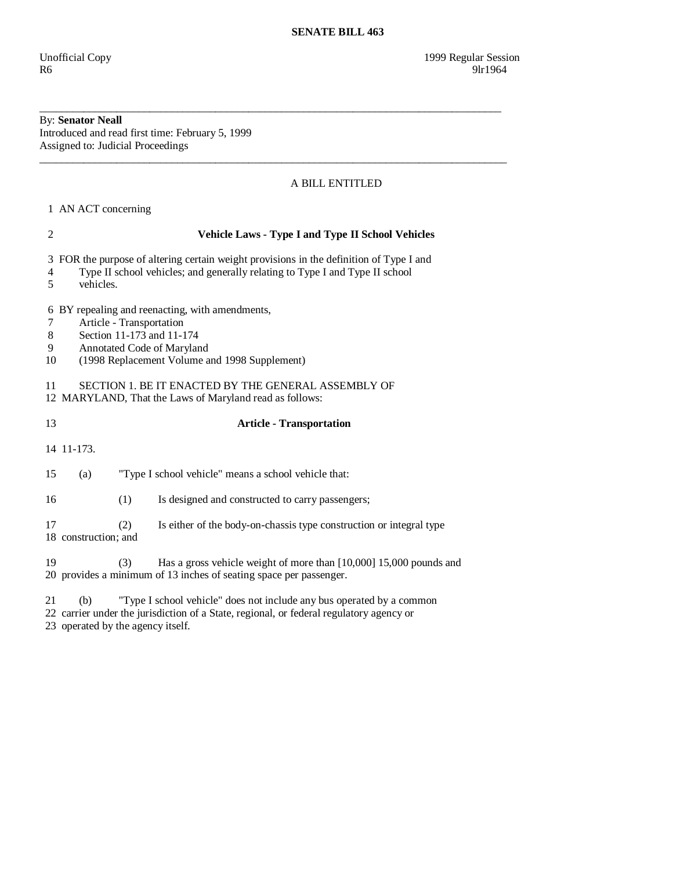# By: **Senator Neall**

Introduced and read first time: February 5, 1999 Assigned to: Judicial Proceedings

# A BILL ENTITLED

1 AN ACT concerning

## 2 **Vehicle Laws - Type I and Type II School Vehicles**

3 FOR the purpose of altering certain weight provisions in the definition of Type I and

\_\_\_\_\_\_\_\_\_\_\_\_\_\_\_\_\_\_\_\_\_\_\_\_\_\_\_\_\_\_\_\_\_\_\_\_\_\_\_\_\_\_\_\_\_\_\_\_\_\_\_\_\_\_\_\_\_\_\_\_\_\_\_\_\_\_\_\_\_\_\_\_\_\_\_\_\_\_\_\_\_\_\_\_

\_\_\_\_\_\_\_\_\_\_\_\_\_\_\_\_\_\_\_\_\_\_\_\_\_\_\_\_\_\_\_\_\_\_\_\_\_\_\_\_\_\_\_\_\_\_\_\_\_\_\_\_\_\_\_\_\_\_\_\_\_\_\_\_\_\_\_\_\_\_\_\_\_\_\_\_\_\_\_\_\_\_\_\_\_

- 4 Type II school vehicles; and generally relating to Type I and Type II school
- 5 vehicles.

6 BY repealing and reenacting, with amendments,

- 7 Article Transportation
- 8 Section 11-173 and 11-174
- 9 Annotated Code of Maryland
- 10 (1998 Replacement Volume and 1998 Supplement)

11 SECTION 1. BE IT ENACTED BY THE GENERAL ASSEMBLY OF

- 12 MARYLAND, That the Laws of Maryland read as follows:
- 

## 13 **Article - Transportation**

14 11-173.

- 15 (a) "Type I school vehicle" means a school vehicle that:
- 16 (1) Is designed and constructed to carry passengers;

 17 (2) Is either of the body-on-chassis type construction or integral type 18 construction; and

 19 (3) Has a gross vehicle weight of more than [10,000] 15,000 pounds and 20 provides a minimum of 13 inches of seating space per passenger.

21 (b) "Type I school vehicle" does not include any bus operated by a common

22 carrier under the jurisdiction of a State, regional, or federal regulatory agency or

23 operated by the agency itself.